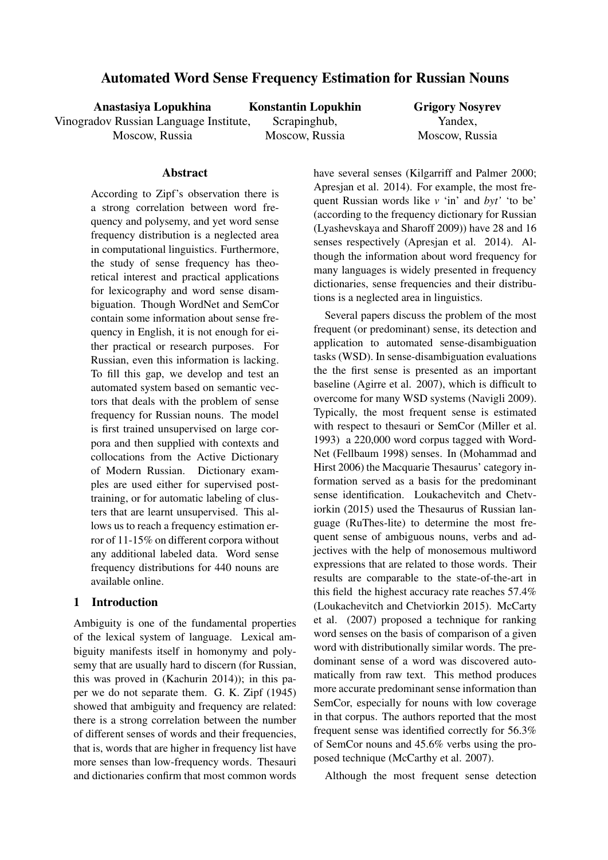# Automated Word Sense Frequency Estimation for Russian Nouns

Anastasiya Lopukhina Vinogradov Russian Language Institute, Moscow, Russia

Konstantin Lopukhin Scrapinghub, Moscow, Russia

Grigory Nosyrev Yandex, Moscow, Russia

## Abstract

According to Zipf's observation there is a strong correlation between word frequency and polysemy, and yet word sense frequency distribution is a neglected area in computational linguistics. Furthermore, the study of sense frequency has theoretical interest and practical applications for lexicography and word sense disambiguation. Though WordNet and SemCor contain some information about sense frequency in English, it is not enough for either practical or research purposes. For Russian, even this information is lacking. To fill this gap, we develop and test an automated system based on semantic vectors that deals with the problem of sense frequency for Russian nouns. The model is first trained unsupervised on large corpora and then supplied with contexts and collocations from the Active Dictionary of Modern Russian. Dictionary examples are used either for supervised posttraining, or for automatic labeling of clusters that are learnt unsupervised. This allows us to reach a frequency estimation error of 11-15% on different corpora without any additional labeled data. Word sense frequency distributions for 440 nouns are available online.

## 1 Introduction

Ambiguity is one of the fundamental properties of the lexical system of language. Lexical ambiguity manifests itself in homonymy and polysemy that are usually hard to discern (for Russian, this was proved in (Kachurin 2014)); in this paper we do not separate them. G. K. Zipf (1945) showed that ambiguity and frequency are related: there is a strong correlation between the number of different senses of words and their frequencies, that is, words that are higher in frequency list have more senses than low-frequency words. Thesauri and dictionaries confirm that most common words have several senses (Kilgarriff and Palmer 2000; Apresjan et al. 2014). For example, the most frequent Russian words like *v* 'in' and *byt'* 'to be' (according to the frequency dictionary for Russian (Lyashevskaya and Sharoff 2009)) have 28 and 16 senses respectively (Apresjan et al. 2014). Although the information about word frequency for many languages is widely presented in frequency dictionaries, sense frequencies and their distributions is a neglected area in linguistics.

Several papers discuss the problem of the most frequent (or predominant) sense, its detection and application to automated sense-disambiguation tasks (WSD). In sense-disambiguation evaluations the the first sense is presented as an important baseline (Agirre et al. 2007), which is difficult to overcome for many WSD systems (Navigli 2009). Typically, the most frequent sense is estimated with respect to thesauri or SemCor (Miller et al. 1993) a 220,000 word corpus tagged with Word-Net (Fellbaum 1998) senses. In (Mohammad and Hirst 2006) the Macquarie Thesaurus' category information served as a basis for the predominant sense identification. Loukachevitch and Chetviorkin (2015) used the Thesaurus of Russian language (RuThes-lite) to determine the most frequent sense of ambiguous nouns, verbs and adjectives with the help of monosemous multiword expressions that are related to those words. Their results are comparable to the state-of-the-art in this field the highest accuracy rate reaches 57.4% (Loukachevitch and Chetviorkin 2015). McCarty et al. (2007) proposed a technique for ranking word senses on the basis of comparison of a given word with distributionally similar words. The predominant sense of a word was discovered automatically from raw text. This method produces more accurate predominant sense information than SemCor, especially for nouns with low coverage in that corpus. The authors reported that the most frequent sense was identified correctly for 56.3% of SemCor nouns and 45.6% verbs using the proposed technique (McCarthy et al. 2007).

Although the most frequent sense detection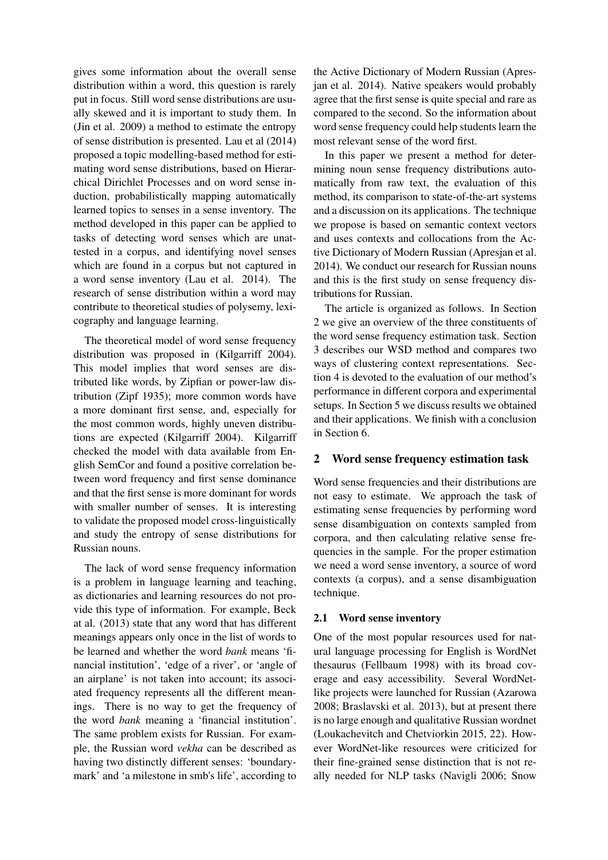gives some information about the overall sense distribution within a word, this question is rarely put in focus. Still word sense distributions are usually skewed and it is important to study them. In (Jin et al. 2009) a method to estimate the entropy of sense distribution is presented. Lau et al (2014) proposed a topic modelling-based method for estimating word sense distributions, based on Hierarchical Dirichlet Processes and on word sense induction, probabilistically mapping automatically learned topics to senses in a sense inventory. The method developed in this paper can be applied to tasks of detecting word senses which are unattested in a corpus, and identifying novel senses which are found in a corpus but not captured in a word sense inventory (Lau et al. 2014). The research of sense distribution within a word may contribute to theoretical studies of polysemy, lexicography and language learning.

The theoretical model of word sense frequency distribution was proposed in (Kilgarriff 2004). This model implies that word senses are distributed like words, by Zipfian or power-law distribution (Zipf 1935); more common words have a more dominant first sense, and, especially for the most common words, highly uneven distributions are expected (Kilgarriff 2004). Kilgarriff checked the model with data available from English SemCor and found a positive correlation between word frequency and first sense dominance and that the first sense is more dominant for words with smaller number of senses. It is interesting to validate the proposed model cross-linguistically and study the entropy of sense distributions for Russian nouns.

The lack of word sense frequency information is a problem in language learning and teaching, as dictionaries and learning resources do not provide this type of information. For example, Beck at al. (2013) state that any word that has different meanings appears only once in the list of words to be learned and whether the word *bank* means 'financial institution', 'edge of a river', or 'angle of an airplane' is not taken into account; its associated frequency represents all the different meanings. There is no way to get the frequency of the word *bank* meaning a 'financial institution'. The same problem exists for Russian. For example, the Russian word *vekha* can be described as having two distinctly different senses: 'boundarymark' and 'a milestone in smb's life', according to

the Active Dictionary of Modern Russian (Apresjan et al. 2014). Native speakers would probably agree that the first sense is quite special and rare as compared to the second. So the information about word sense frequency could help students learn the most relevant sense of the word first.

In this paper we present a method for determining noun sense frequency distributions automatically from raw text, the evaluation of this method, its comparison to state-of-the-art systems and a discussion on its applications. The technique we propose is based on semantic context vectors and uses contexts and collocations from the Active Dictionary of Modern Russian (Apresjan et al. 2014). We conduct our research for Russian nouns and this is the first study on sense frequency distributions for Russian.

The article is organized as follows. In Section 2 we give an overview of the three constituents of the word sense frequency estimation task. Section 3 describes our WSD method and compares two ways of clustering context representations. Section 4 is devoted to the evaluation of our method's performance in different corpora and experimental setups. In Section 5 we discuss results we obtained and their applications. We finish with a conclusion in Section 6.

## 2 Word sense frequency estimation task

Word sense frequencies and their distributions are not easy to estimate. We approach the task of estimating sense frequencies by performing word sense disambiguation on contexts sampled from corpora, and then calculating relative sense frequencies in the sample. For the proper estimation we need a word sense inventory, a source of word contexts (a corpus), and a sense disambiguation technique.

#### 2.1 Word sense inventory

One of the most popular resources used for natural language processing for English is WordNet thesaurus (Fellbaum 1998) with its broad coverage and easy accessibility. Several WordNetlike projects were launched for Russian (Azarowa 2008; Braslavski et al. 2013), but at present there is no large enough and qualitative Russian wordnet (Loukachevitch and Chetviorkin 2015, 22). However WordNet-like resources were criticized for their fine-grained sense distinction that is not really needed for NLP tasks (Navigli 2006; Snow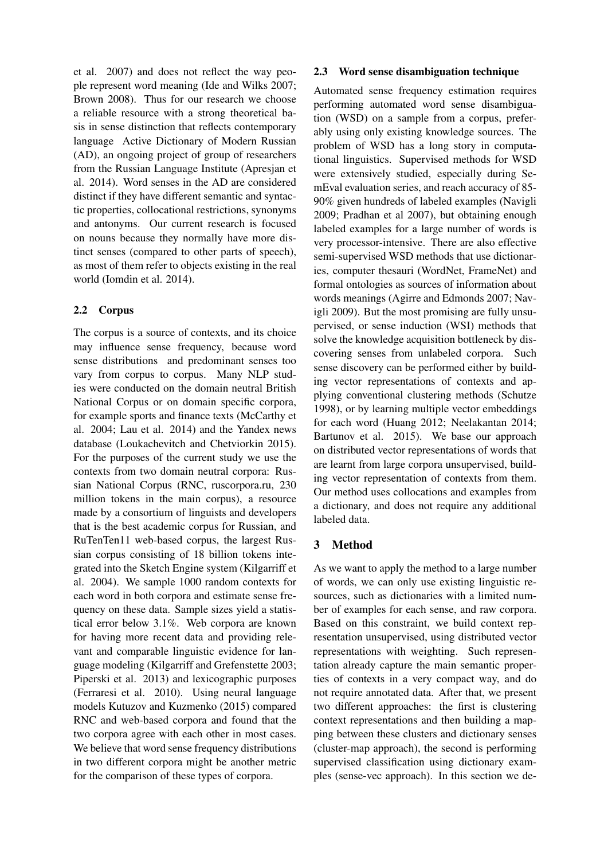et al. 2007) and does not reflect the way people represent word meaning (Ide and Wilks 2007; Brown 2008). Thus for our research we choose a reliable resource with a strong theoretical basis in sense distinction that reflects contemporary language Active Dictionary of Modern Russian (AD), an ongoing project of group of researchers from the Russian Language Institute (Apresjan et al. 2014). Word senses in the AD are considered distinct if they have different semantic and syntactic properties, collocational restrictions, synonyms and antonyms. Our current research is focused on nouns because they normally have more distinct senses (compared to other parts of speech), as most of them refer to objects existing in the real world (Iomdin et al. 2014).

## 2.2 Corpus

The corpus is a source of contexts, and its choice may influence sense frequency, because word sense distributions and predominant senses too vary from corpus to corpus. Many NLP studies were conducted on the domain neutral British National Corpus or on domain specific corpora, for example sports and finance texts (McCarthy et al. 2004; Lau et al. 2014) and the Yandex news database (Loukachevitch and Chetviorkin 2015). For the purposes of the current study we use the contexts from two domain neutral corpora: Russian National Corpus (RNC, ruscorpora.ru, 230 million tokens in the main corpus), a resource made by a consortium of linguists and developers that is the best academic corpus for Russian, and RuTenTen11 web-based corpus, the largest Russian corpus consisting of 18 billion tokens integrated into the Sketch Engine system (Kilgarriff et al. 2004). We sample 1000 random contexts for each word in both corpora and estimate sense frequency on these data. Sample sizes yield a statistical error below 3.1%. Web corpora are known for having more recent data and providing relevant and comparable linguistic evidence for language modeling (Kilgarriff and Grefenstette 2003; Piperski et al. 2013) and lexicographic purposes (Ferraresi et al. 2010). Using neural language models Kutuzov and Kuzmenko (2015) compared RNC and web-based corpora and found that the two corpora agree with each other in most cases. We believe that word sense frequency distributions in two different corpora might be another metric for the comparison of these types of corpora.

#### 2.3 Word sense disambiguation technique

Automated sense frequency estimation requires performing automated word sense disambiguation (WSD) on a sample from a corpus, preferably using only existing knowledge sources. The problem of WSD has a long story in computational linguistics. Supervised methods for WSD were extensively studied, especially during SemEval evaluation series, and reach accuracy of 85- 90% given hundreds of labeled examples (Navigli 2009; Pradhan et al 2007), but obtaining enough labeled examples for a large number of words is very processor-intensive. There are also effective semi-supervised WSD methods that use dictionaries, computer thesauri (WordNet, FrameNet) and formal ontologies as sources of information about words meanings (Agirre and Edmonds 2007; Navigli 2009). But the most promising are fully unsupervised, or sense induction (WSI) methods that solve the knowledge acquisition bottleneck by discovering senses from unlabeled corpora. Such sense discovery can be performed either by building vector representations of contexts and applying conventional clustering methods (Schutze 1998), or by learning multiple vector embeddings for each word (Huang 2012; Neelakantan 2014; Bartunov et al. 2015). We base our approach on distributed vector representations of words that are learnt from large corpora unsupervised, building vector representation of contexts from them. Our method uses collocations and examples from a dictionary, and does not require any additional labeled data.

# 3 Method

As we want to apply the method to a large number of words, we can only use existing linguistic resources, such as dictionaries with a limited number of examples for each sense, and raw corpora. Based on this constraint, we build context representation unsupervised, using distributed vector representations with weighting. Such representation already capture the main semantic properties of contexts in a very compact way, and do not require annotated data. After that, we present two different approaches: the first is clustering context representations and then building a mapping between these clusters and dictionary senses (cluster-map approach), the second is performing supervised classification using dictionary examples (sense-vec approach). In this section we de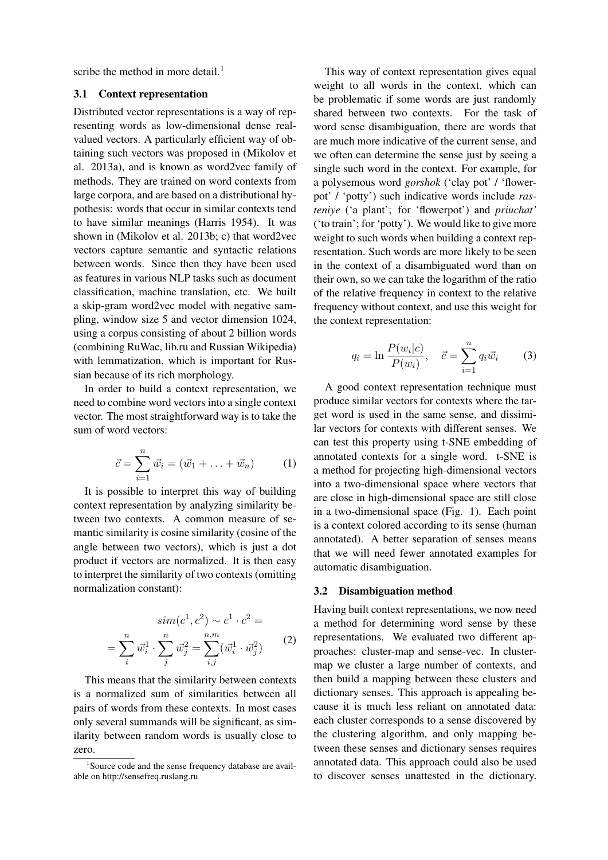scribe the method in more detail.<sup>1</sup>

### 3.1 Context representation

Distributed vector representations is a way of representing words as low-dimensional dense realvalued vectors. A particularly efficient way of obtaining such vectors was proposed in (Mikolov et al. 2013a), and is known as word2vec family of methods. They are trained on word contexts from large corpora, and are based on a distributional hypothesis: words that occur in similar contexts tend to have similar meanings (Harris 1954). It was shown in (Mikolov et al. 2013b; c) that word2vec vectors capture semantic and syntactic relations between words. Since then they have been used as features in various NLP tasks such as document classification, machine translation, etc. We built a skip-gram word2vec model with negative sampling, window size 5 and vector dimension 1024, using a corpus consisting of about 2 billion words (combining RuWac, lib.ru and Russian Wikipedia) with lemmatization, which is important for Russian because of its rich morphology.

In order to build a context representation, we need to combine word vectors into a single context vector. The most straightforward way is to take the sum of word vectors:

$$
\vec{c} = \sum_{i=1}^{n} \vec{w_i} = (\vec{w_1} + \ldots + \vec{w_n})
$$
 (1)

It is possible to interpret this way of building context representation by analyzing similarity between two contexts. A common measure of semantic similarity is cosine similarity (cosine of the angle between two vectors), which is just a dot product if vectors are normalized. It is then easy to interpret the similarity of two contexts (omitting normalization constant):

$$
sim(c^{1}, c^{2}) \sim c^{1} \cdot c^{2} =
$$

$$
= \sum_{i}^{n} \vec{w}_{i}^{1} \cdot \sum_{j}^{n} \vec{w}_{j}^{2} = \sum_{i,j}^{n,m} (\vec{w}_{i}^{1} \cdot \vec{w}_{j}^{2})
$$
(2)

This means that the similarity between contexts is a normalized sum of similarities between all pairs of words from these contexts. In most cases only several summands will be significant, as similarity between random words is usually close to zero.

This way of context representation gives equal weight to all words in the context, which can be problematic if some words are just randomly shared between two contexts. For the task of word sense disambiguation, there are words that are much more indicative of the current sense, and we often can determine the sense just by seeing a single such word in the context. For example, for a polysemous word *gorshok* ('clay pot' / 'flowerpot' / 'potty') such indicative words include *rasteniye* ('a plant'; for 'flowerpot') and *priuchat'* ('to train'; for 'potty'). We would like to give more weight to such words when building a context representation. Such words are more likely to be seen in the context of a disambiguated word than on their own, so we can take the logarithm of the ratio of the relative frequency in context to the relative frequency without context, and use this weight for the context representation:

$$
q_i = \ln \frac{P(w_i|c)}{P(w_i)}, \quad \vec{c} = \sum_{i=1}^n q_i \vec{w_i}
$$
 (3)

A good context representation technique must produce similar vectors for contexts where the target word is used in the same sense, and dissimilar vectors for contexts with different senses. We can test this property using t-SNE embedding of annotated contexts for a single word. t-SNE is a method for projecting high-dimensional vectors into a two-dimensional space where vectors that are close in high-dimensional space are still close in a two-dimensional space (Fig. 1). Each point is a context colored according to its sense (human annotated). A better separation of senses means that we will need fewer annotated examples for automatic disambiguation.

#### 3.2 Disambiguation method

Having built context representations, we now need a method for determining word sense by these representations. We evaluated two different approaches: cluster-map and sense-vec. In clustermap we cluster a large number of contexts, and then build a mapping between these clusters and dictionary senses. This approach is appealing because it is much less reliant on annotated data: each cluster corresponds to a sense discovered by the clustering algorithm, and only mapping between these senses and dictionary senses requires annotated data. This approach could also be used to discover senses unattested in the dictionary.

<sup>&</sup>lt;sup>1</sup>Source code and the sense frequency database are available on http://sensefreq.ruslang.ru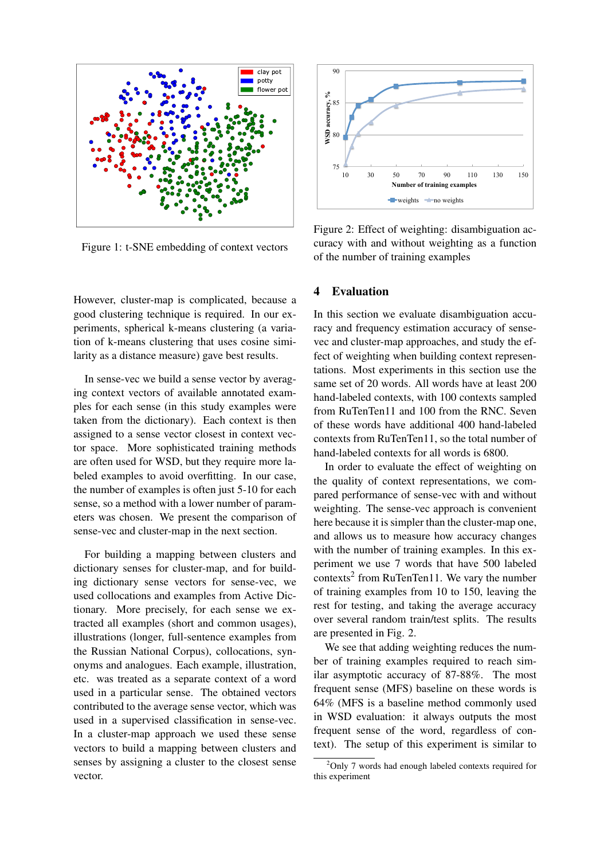

Figure 1: t-SNE embedding of context vectors

However, cluster-map is complicated, because a good clustering technique is required. In our experiments, spherical k-means clustering (a variation of k-means clustering that uses cosine similarity as a distance measure) gave best results.

In sense-vec we build a sense vector by averaging context vectors of available annotated examples for each sense (in this study examples were taken from the dictionary). Each context is then assigned to a sense vector closest in context vector space. More sophisticated training methods are often used for WSD, but they require more labeled examples to avoid overfitting. In our case, the number of examples is often just 5-10 for each sense, so a method with a lower number of parameters was chosen. We present the comparison of sense-vec and cluster-map in the next section.

For building a mapping between clusters and dictionary senses for cluster-map, and for building dictionary sense vectors for sense-vec, we used collocations and examples from Active Dictionary. More precisely, for each sense we extracted all examples (short and common usages), illustrations (longer, full-sentence examples from the Russian National Corpus), collocations, synonyms and analogues. Each example, illustration, etc. was treated as a separate context of a word used in a particular sense. The obtained vectors contributed to the average sense vector, which was used in a supervised classification in sense-vec. In a cluster-map approach we used these sense vectors to build a mapping between clusters and senses by assigning a cluster to the closest sense vector.



Figure 2: Effect of weighting: disambiguation accuracy with and without weighting as a function of the number of training examples

## 4 Evaluation

In this section we evaluate disambiguation accuracy and frequency estimation accuracy of sensevec and cluster-map approaches, and study the effect of weighting when building context representations. Most experiments in this section use the same set of 20 words. All words have at least 200 hand-labeled contexts, with 100 contexts sampled from RuTenTen11 and 100 from the RNC. Seven of these words have additional 400 hand-labeled contexts from RuTenTen11, so the total number of hand-labeled contexts for all words is 6800.

In order to evaluate the effect of weighting on the quality of context representations, we compared performance of sense-vec with and without weighting. The sense-vec approach is convenient here because it is simpler than the cluster-map one, and allows us to measure how accuracy changes with the number of training examples. In this experiment we use 7 words that have 500 labeled contexts<sup>2</sup> from RuTenTen11. We vary the number of training examples from 10 to 150, leaving the rest for testing, and taking the average accuracy over several random train/test splits. The results are presented in Fig. 2.

We see that adding weighting reduces the number of training examples required to reach similar asymptotic accuracy of 87-88%. The most frequent sense (MFS) baseline on these words is 64% (MFS is a baseline method commonly used in WSD evaluation: it always outputs the most frequent sense of the word, regardless of context). The setup of this experiment is similar to

 $2$ Only 7 words had enough labeled contexts required for this experiment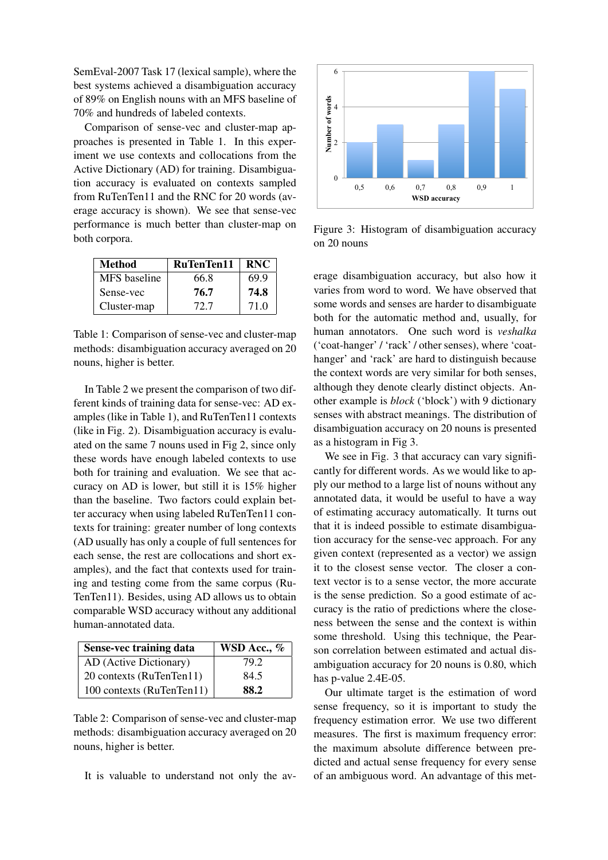SemEval-2007 Task 17 (lexical sample), where the best systems achieved a disambiguation accuracy of 89% on English nouns with an MFS baseline of 70% and hundreds of labeled contexts.

Comparison of sense-vec and cluster-map approaches is presented in Table 1. In this experiment we use contexts and collocations from the Active Dictionary (AD) for training. Disambiguation accuracy is evaluated on contexts sampled from RuTenTen11 and the RNC for 20 words (average accuracy is shown). We see that sense-vec performance is much better than cluster-map on both corpora.

| Method       | RuTenTen11 | <b>RNC</b> |
|--------------|------------|------------|
| MFS baseline | 66.8       | 69.9       |
| Sense-vec    | 76.7       | 74.8       |
| Cluster-map  | 72.7       | 71.0       |

Table 1: Comparison of sense-vec and cluster-map methods: disambiguation accuracy averaged on 20 nouns, higher is better.

In Table 2 we present the comparison of two different kinds of training data for sense-vec: AD examples (like in Table 1), and RuTenTen11 contexts (like in Fig. 2). Disambiguation accuracy is evaluated on the same 7 nouns used in Fig 2, since only these words have enough labeled contexts to use both for training and evaluation. We see that accuracy on AD is lower, but still it is 15% higher than the baseline. Two factors could explain better accuracy when using labeled RuTenTen11 contexts for training: greater number of long contexts (AD usually has only a couple of full sentences for each sense, the rest are collocations and short examples), and the fact that contexts used for training and testing come from the same corpus (Ru-TenTen11). Besides, using AD allows us to obtain comparable WSD accuracy without any additional human-annotated data.

| Sense-vec training data   | WSD Acc., $%$ |
|---------------------------|---------------|
| AD (Active Dictionary)    | 79.2          |
| 20 contexts (RuTenTen11)  | 84.5          |
| 100 contexts (RuTenTen11) | 88.2          |

Table 2: Comparison of sense-vec and cluster-map methods: disambiguation accuracy averaged on 20 nouns, higher is better.

It is valuable to understand not only the av-



Figure 3: Histogram of disambiguation accuracy on 20 nouns

erage disambiguation accuracy, but also how it varies from word to word. We have observed that some words and senses are harder to disambiguate both for the automatic method and, usually, for human annotators. One such word is *veshalka* ('coat-hanger' / 'rack' / other senses), where 'coathanger' and 'rack' are hard to distinguish because the context words are very similar for both senses, although they denote clearly distinct objects. Another example is *block* ('block') with 9 dictionary senses with abstract meanings. The distribution of disambiguation accuracy on 20 nouns is presented as a histogram in Fig 3.

We see in Fig. 3 that accuracy can vary significantly for different words. As we would like to apply our method to a large list of nouns without any annotated data, it would be useful to have a way of estimating accuracy automatically. It turns out that it is indeed possible to estimate disambiguation accuracy for the sense-vec approach. For any given context (represented as a vector) we assign it to the closest sense vector. The closer a context vector is to a sense vector, the more accurate is the sense prediction. So a good estimate of accuracy is the ratio of predictions where the closeness between the sense and the context is within some threshold. Using this technique, the Pearson correlation between estimated and actual disambiguation accuracy for 20 nouns is 0.80, which has p-value 2.4E-05.

Our ultimate target is the estimation of word sense frequency, so it is important to study the frequency estimation error. We use two different measures. The first is maximum frequency error: the maximum absolute difference between predicted and actual sense frequency for every sense of an ambiguous word. An advantage of this met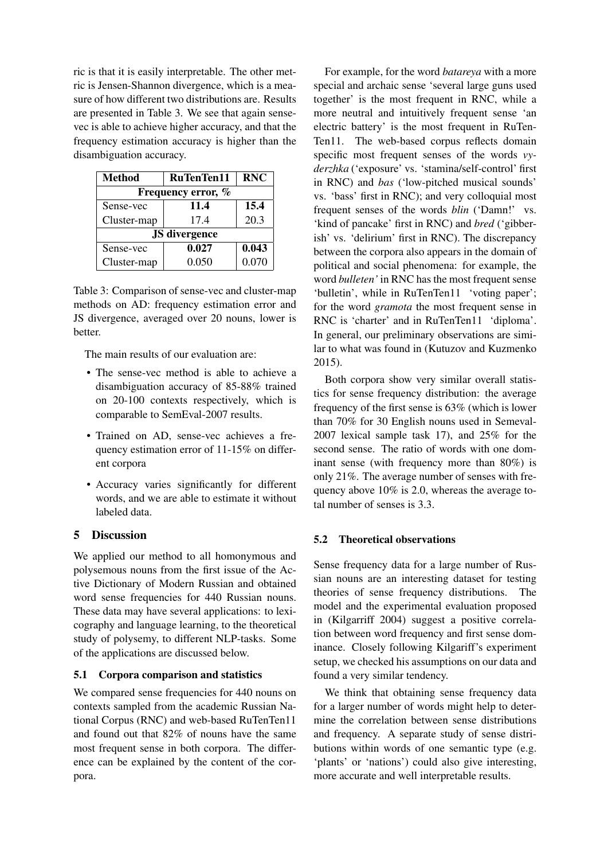ric is that it is easily interpretable. The other metric is Jensen-Shannon divergence, which is a measure of how different two distributions are. Results are presented in Table 3. We see that again sensevec is able to achieve higher accuracy, and that the frequency estimation accuracy is higher than the disambiguation accuracy.

| <b>Method</b>        | <b>RuTenTen11</b> | <b>RNC</b> |  |
|----------------------|-------------------|------------|--|
| Frequency error, %   |                   |            |  |
| Sense-vec            | 11.4              | 15.4       |  |
| Cluster-map          | 17.4              | 20.3       |  |
| <b>JS</b> divergence |                   |            |  |
| Sense-vec            | 0.027             | 0.043      |  |
| Cluster-map          | 0.050             | 0.070      |  |

Table 3: Comparison of sense-vec and cluster-map methods on AD: frequency estimation error and JS divergence, averaged over 20 nouns, lower is better.

The main results of our evaluation are:

- The sense-vec method is able to achieve a disambiguation accuracy of 85-88% trained on 20-100 contexts respectively, which is comparable to SemEval-2007 results.
- Trained on AD, sense-vec achieves a frequency estimation error of 11-15% on different corpora
- Accuracy varies significantly for different words, and we are able to estimate it without labeled data.

# 5 Discussion

We applied our method to all homonymous and polysemous nouns from the first issue of the Active Dictionary of Modern Russian and obtained word sense frequencies for 440 Russian nouns. These data may have several applications: to lexicography and language learning, to the theoretical study of polysemy, to different NLP-tasks. Some of the applications are discussed below.

## 5.1 Corpora comparison and statistics

We compared sense frequencies for 440 nouns on contexts sampled from the academic Russian National Corpus (RNC) and web-based RuTenTen11 and found out that 82% of nouns have the same most frequent sense in both corpora. The difference can be explained by the content of the corpora.

For example, for the word *batareya* with a more special and archaic sense 'several large guns used together' is the most frequent in RNC, while a more neutral and intuitively frequent sense 'an electric battery' is the most frequent in RuTen-Ten11. The web-based corpus reflects domain specific most frequent senses of the words *vyderzhka* ('exposure' vs. 'stamina/self-control' first in RNC) and *bas* ('low-pitched musical sounds' vs. 'bass' first in RNC); and very colloquial most frequent senses of the words *blin* ('Damn!' vs. 'kind of pancake' first in RNC) and *bred* ('gibberish' vs. 'delirium' first in RNC). The discrepancy between the corpora also appears in the domain of political and social phenomena: for example, the word *bulleten'* in RNC has the most frequent sense 'bulletin', while in RuTenTen11 'voting paper'; for the word *gramota* the most frequent sense in RNC is 'charter' and in RuTenTen11 'diploma'. In general, our preliminary observations are similar to what was found in (Kutuzov and Kuzmenko 2015).

Both corpora show very similar overall statistics for sense frequency distribution: the average frequency of the first sense is 63% (which is lower than 70% for 30 English nouns used in Semeval-2007 lexical sample task 17), and 25% for the second sense. The ratio of words with one dominant sense (with frequency more than 80%) is only 21%. The average number of senses with frequency above 10% is 2.0, whereas the average total number of senses is 3.3.

## 5.2 Theoretical observations

Sense frequency data for a large number of Russian nouns are an interesting dataset for testing theories of sense frequency distributions. The model and the experimental evaluation proposed in (Kilgarriff 2004) suggest a positive correlation between word frequency and first sense dominance. Closely following Kilgariff's experiment setup, we checked his assumptions on our data and found a very similar tendency.

We think that obtaining sense frequency data for a larger number of words might help to determine the correlation between sense distributions and frequency. A separate study of sense distributions within words of one semantic type (e.g. 'plants' or 'nations') could also give interesting, more accurate and well interpretable results.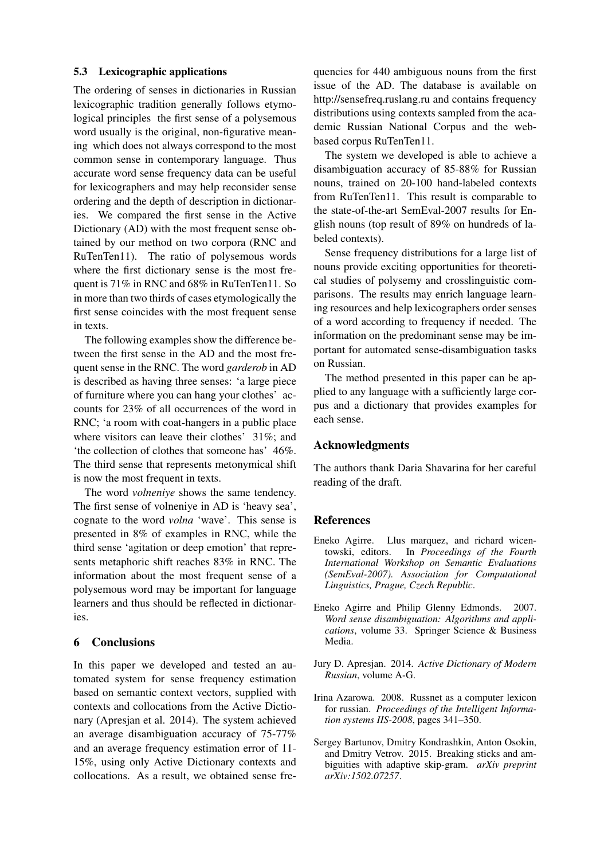#### 5.3 Lexicographic applications

The ordering of senses in dictionaries in Russian lexicographic tradition generally follows etymological principles the first sense of a polysemous word usually is the original, non-figurative meaning which does not always correspond to the most common sense in contemporary language. Thus accurate word sense frequency data can be useful for lexicographers and may help reconsider sense ordering and the depth of description in dictionaries. We compared the first sense in the Active Dictionary (AD) with the most frequent sense obtained by our method on two corpora (RNC and RuTenTen11). The ratio of polysemous words where the first dictionary sense is the most frequent is 71% in RNC and 68% in RuTenTen11. So in more than two thirds of cases etymologically the first sense coincides with the most frequent sense in texts.

The following examples show the difference between the first sense in the AD and the most frequent sense in the RNC. The word *garderob* in AD is described as having three senses: 'a large piece of furniture where you can hang your clothes' accounts for 23% of all occurrences of the word in RNC; 'a room with coat-hangers in a public place where visitors can leave their clothes' 31%; and 'the collection of clothes that someone has' 46%. The third sense that represents metonymical shift is now the most frequent in texts.

The word *volneniye* shows the same tendency. The first sense of volneniye in AD is 'heavy sea', cognate to the word *volna* 'wave'. This sense is presented in 8% of examples in RNC, while the third sense 'agitation or deep emotion' that represents metaphoric shift reaches 83% in RNC. The information about the most frequent sense of a polysemous word may be important for language learners and thus should be reflected in dictionaries.

### 6 Conclusions

In this paper we developed and tested an automated system for sense frequency estimation based on semantic context vectors, supplied with contexts and collocations from the Active Dictionary (Apresjan et al. 2014). The system achieved an average disambiguation accuracy of 75-77% and an average frequency estimation error of 11- 15%, using only Active Dictionary contexts and collocations. As a result, we obtained sense fre-

quencies for 440 ambiguous nouns from the first issue of the AD. The database is available on http://sensefreq.ruslang.ru and contains frequency distributions using contexts sampled from the academic Russian National Corpus and the webbased corpus RuTenTen11.

The system we developed is able to achieve a disambiguation accuracy of 85-88% for Russian nouns, trained on 20-100 hand-labeled contexts from RuTenTen11. This result is comparable to the state-of-the-art SemEval-2007 results for English nouns (top result of 89% on hundreds of labeled contexts).

Sense frequency distributions for a large list of nouns provide exciting opportunities for theoretical studies of polysemy and crosslinguistic comparisons. The results may enrich language learning resources and help lexicographers order senses of a word according to frequency if needed. The information on the predominant sense may be important for automated sense-disambiguation tasks on Russian.

The method presented in this paper can be applied to any language with a sufficiently large corpus and a dictionary that provides examples for each sense.

### Acknowledgments

The authors thank Daria Shavarina for her careful reading of the draft.

#### References

- Eneko Agirre. Llus marquez, and richard wicentowski, editors. In *Proceedings of the Fourth International Workshop on Semantic Evaluations (SemEval-2007). Association for Computational Linguistics, Prague, Czech Republic*.
- Eneko Agirre and Philip Glenny Edmonds. 2007. *Word sense disambiguation: Algorithms and applications*, volume 33. Springer Science & Business Media.
- Jury D. Apresjan. 2014. *Active Dictionary of Modern Russian*, volume A-G.
- Irina Azarowa. 2008. Russnet as a computer lexicon for russian. *Proceedings of the Intelligent Information systems IIS-2008*, pages 341–350.
- Sergey Bartunov, Dmitry Kondrashkin, Anton Osokin, and Dmitry Vetrov. 2015. Breaking sticks and ambiguities with adaptive skip-gram. *arXiv preprint arXiv:1502.07257*.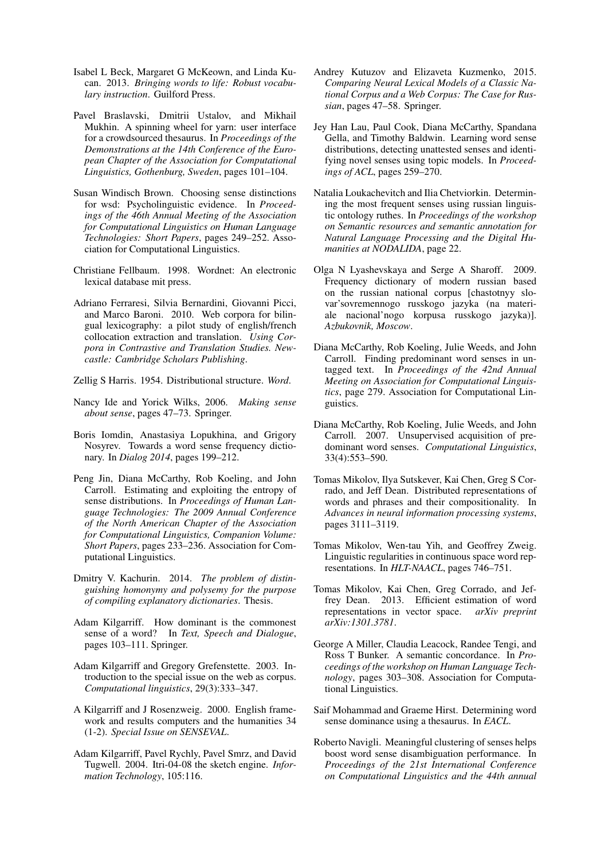- Isabel L Beck, Margaret G McKeown, and Linda Kucan. 2013. *Bringing words to life: Robust vocabulary instruction*. Guilford Press.
- Pavel Braslavski, Dmitrii Ustalov, and Mikhail Mukhin. A spinning wheel for yarn: user interface for a crowdsourced thesaurus. In *Proceedings of the Demonstrations at the 14th Conference of the European Chapter of the Association for Computational Linguistics, Gothenburg, Sweden*, pages 101–104.
- Susan Windisch Brown. Choosing sense distinctions for wsd: Psycholinguistic evidence. In *Proceedings of the 46th Annual Meeting of the Association for Computational Linguistics on Human Language Technologies: Short Papers*, pages 249–252. Association for Computational Linguistics.
- Christiane Fellbaum. 1998. Wordnet: An electronic lexical database mit press.
- Adriano Ferraresi, Silvia Bernardini, Giovanni Picci, and Marco Baroni. 2010. Web corpora for bilingual lexicography: a pilot study of english/french collocation extraction and translation. *Using Corpora in Contrastive and Translation Studies. Newcastle: Cambridge Scholars Publishing*.
- Zellig S Harris. 1954. Distributional structure. *Word*.
- Nancy Ide and Yorick Wilks, 2006. *Making sense about sense*, pages 47–73. Springer.
- Boris Iomdin, Anastasiya Lopukhina, and Grigory Nosyrev. Towards a word sense frequency dictionary. In *Dialog 2014*, pages 199–212.
- Peng Jin, Diana McCarthy, Rob Koeling, and John Carroll. Estimating and exploiting the entropy of sense distributions. In *Proceedings of Human Language Technologies: The 2009 Annual Conference of the North American Chapter of the Association for Computational Linguistics, Companion Volume: Short Papers*, pages 233–236. Association for Computational Linguistics.
- Dmitry V. Kachurin. 2014. *The problem of distinguishing homonymy and polysemy for the purpose of compiling explanatory dictionaries*. Thesis.
- Adam Kilgarriff. How dominant is the commonest sense of a word? In *Text, Speech and Dialogue*, pages 103–111. Springer.
- Adam Kilgarriff and Gregory Grefenstette. 2003. Introduction to the special issue on the web as corpus. *Computational linguistics*, 29(3):333–347.
- A Kilgarriff and J Rosenzweig. 2000. English framework and results computers and the humanities 34 (1-2). *Special Issue on SENSEVAL*.
- Adam Kilgarriff, Pavel Rychly, Pavel Smrz, and David Tugwell. 2004. Itri-04-08 the sketch engine. *Information Technology*, 105:116.
- Andrey Kutuzov and Elizaveta Kuzmenko, 2015. *Comparing Neural Lexical Models of a Classic National Corpus and a Web Corpus: The Case for Russian*, pages 47–58. Springer.
- Jey Han Lau, Paul Cook, Diana McCarthy, Spandana Gella, and Timothy Baldwin. Learning word sense distributions, detecting unattested senses and identifying novel senses using topic models. In *Proceedings of ACL*, pages 259–270.
- Natalia Loukachevitch and Ilia Chetviorkin. Determining the most frequent senses using russian linguistic ontology ruthes. In *Proceedings of the workshop on Semantic resources and semantic annotation for Natural Language Processing and the Digital Humanities at NODALIDA*, page 22.
- Olga N Lyashevskaya and Serge A Sharoff. 2009. Frequency dictionary of modern russian based on the russian national corpus [chastotnyy slovar'sovremennogo russkogo jazyka (na materiale nacional'nogo korpusa russkogo jazyka)]. *Azbukovnik, Moscow*.
- Diana McCarthy, Rob Koeling, Julie Weeds, and John Carroll. Finding predominant word senses in untagged text. In *Proceedings of the 42nd Annual Meeting on Association for Computational Linguistics*, page 279. Association for Computational Linguistics.
- Diana McCarthy, Rob Koeling, Julie Weeds, and John Carroll. 2007. Unsupervised acquisition of predominant word senses. *Computational Linguistics*, 33(4):553–590.
- Tomas Mikolov, Ilya Sutskever, Kai Chen, Greg S Corrado, and Jeff Dean. Distributed representations of words and phrases and their compositionality. In *Advances in neural information processing systems*, pages 3111–3119.
- Tomas Mikolov, Wen-tau Yih, and Geoffrey Zweig. Linguistic regularities in continuous space word representations. In *HLT-NAACL*, pages 746–751.
- Tomas Mikolov, Kai Chen, Greg Corrado, and Jeffrey Dean. 2013. Efficient estimation of word representations in vector space. *arXiv preprint arXiv:1301.3781*.
- George A Miller, Claudia Leacock, Randee Tengi, and Ross T Bunker. A semantic concordance. In *Proceedings of the workshop on Human Language Technology*, pages 303–308. Association for Computational Linguistics.
- Saif Mohammad and Graeme Hirst. Determining word sense dominance using a thesaurus. In *EACL*.
- Roberto Navigli. Meaningful clustering of senses helps boost word sense disambiguation performance. In *Proceedings of the 21st International Conference on Computational Linguistics and the 44th annual*